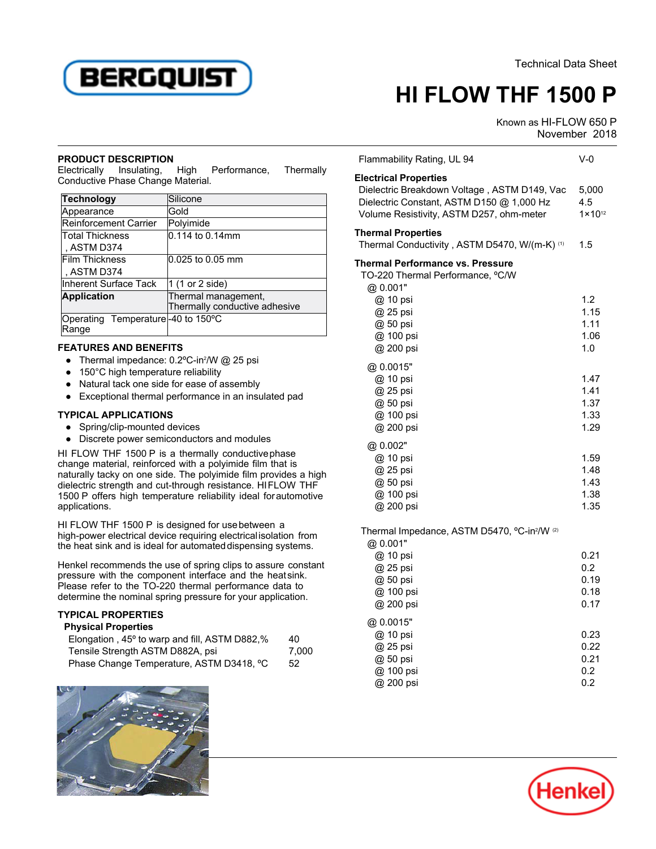

# **HI FLOW THF 1500 P**

Flammability Rating, UL 94 V-0

Known as HI-FLOW 650 P STH-LOW 000T

## **PRODUCT DESCRIPTION**

Electrically Insulating, High Performance, Thermally Conductive Phase Change Material.

| 0.114 to 0.14mm               |  |  |  |
|-------------------------------|--|--|--|
|                               |  |  |  |
| 0.025 to 0.05 mm              |  |  |  |
|                               |  |  |  |
| 1 (1 or 2 side)               |  |  |  |
| Thermal management,           |  |  |  |
|                               |  |  |  |
|                               |  |  |  |
|                               |  |  |  |
| Thermally conductive adhesive |  |  |  |

## **FEATURES AND BENEFITS**

- 11 Prime Prime Denter 11 Prime 11 Prime 1 Prime 1 Prime 1 Prime 1 Prime 1 Prime 1 Prime 1 Prime 1 Prime 1 Pr
- 150°C high temperature reliability
- Natural tack one side for ease of assembly
- Exceptional thermal performance in an insulated pad

## **TYPICAL APPLICATIONS**

- Spring/clip-mounted devices
- Discrete power semiconductors and modules

HI FLOW THF 1500 P is a thermally conductivephase change material, reinforced with a polyimide film that is naturally tacky on one side. The polyimide film provides a high dielectric strength and cut-through resistance. HIFLOW THF 1500 P offers high temperature reliability ideal forautomotive applications.

HI FLOW THF 1500 P is designed for usebetween a high-power electrical device requiring electricalisolation from the heat sink and is ideal for automateddispensing systems.

Henkel recommends the use of spring clips to assure constant pressure with the component interface and the heatsink. Please refer to the TO-220 thermal performance data to determine the nominal spring pressure for your application.

### **TYPICAL PROPERTIES**

|  |  |  | <b>Physical Properties</b> |  |  |  |  |  |  |
|--|--|--|----------------------------|--|--|--|--|--|--|

| Elongation, 45° to warp and fill, ASTM D882,% | 40    |
|-----------------------------------------------|-------|
| Tensile Strength ASTM D882A, psi              | 7.000 |
| Phase Change Temperature, ASTM D3418, °C      | 52    |



| Thammability isating, UL 34                                                                                                                                           | v-v                                  |
|-----------------------------------------------------------------------------------------------------------------------------------------------------------------------|--------------------------------------|
| <b>Electrical Properties</b><br>Dielectric Breakdown Voltage, ASTM D149, Vac<br>Dielectric Constant, ASTM D150 @ 1,000 Hz<br>Volume Resistivity, ASTM D257, ohm-meter | 5,000<br>4.5<br>$1 \times 10^{12}$   |
| <b>Thermal Properties</b><br>Thermal Conductivity, ASTM D5470, W/(m-K) (1)                                                                                            | 1.5                                  |
| Thermal Performance vs. Pressure<br>TO-220 Thermal Performance, °C/W<br>@ 0.001"                                                                                      |                                      |
| @ 10 psi<br>@ 25 psi<br>@ 50 psi<br>@ 100 psi<br>@ 200 psi                                                                                                            | 1.2<br>1.15<br>1.11<br>1.06<br>1.0   |
| @0.0015"<br>@ 10 psi<br>@ 25 psi<br>@ 50 psi<br>@ 100 psi<br>@ 200 psi                                                                                                | 1.47<br>1.41<br>1.37<br>1.33<br>1.29 |
| @ 0.002"<br>@ 10 psi<br>@ 25 psi<br>@ 50 psi<br>@ 100 psi<br>@ 200 psi                                                                                                | 1.59<br>1.48<br>1.43<br>1.38<br>1.35 |
| Thermal Impedance, ASTM D5470, °C-in <sup>2</sup> /W <sup>(2)</sup><br>@ 0.001"                                                                                       |                                      |
| @ 10 psi<br>@ 25 psi<br>@ 50 psi<br>@ 100 psi<br>@ 200 psi                                                                                                            | 0.21<br>0.2<br>0.19<br>0.18<br>0.17  |
| @ 0.0015"<br>@ 10 psi<br>@ 25 psi<br>@ 50 psi<br>@ 100 psi                                                                                                            | 0.23<br>0.22<br>0.21<br>0.2          |

@ 200 psi 0.2